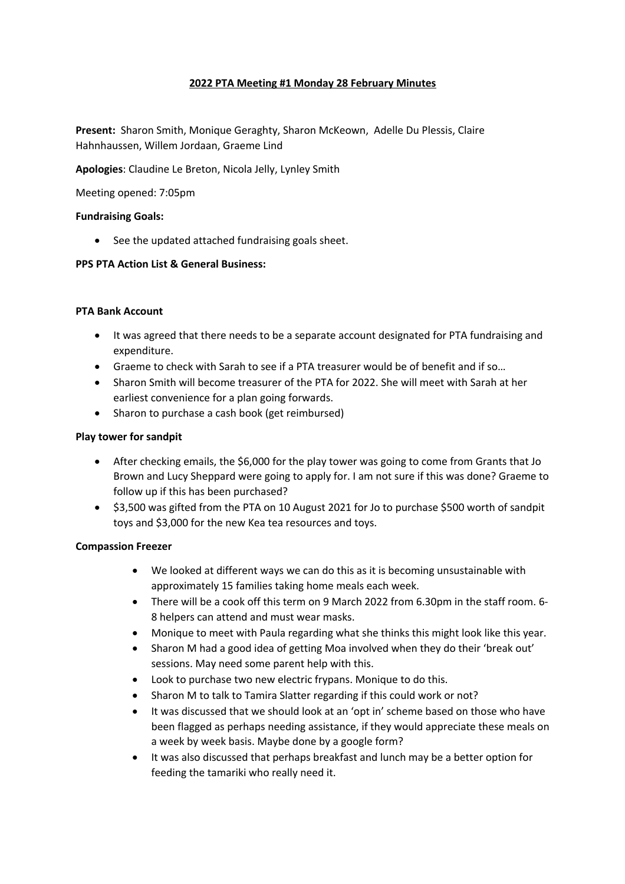# **2022 PTA Meeting #1 Monday 28 February Minutes**

**Present:** Sharon Smith, Monique Geraghty, Sharon McKeown, Adelle Du Plessis, Claire Hahnhaussen, Willem Jordaan, Graeme Lind

**Apologies**: Claudine Le Breton, Nicola Jelly, Lynley Smith

Meeting opened: 7:05pm

#### **Fundraising Goals:**

• See the updated attached fundraising goals sheet.

# **PPS PTA Action List & General Business:**

# **PTA Bank Account**

- It was agreed that there needs to be a separate account designated for PTA fundraising and expenditure.
- Graeme to check with Sarah to see if a PTA treasurer would be of benefit and if so…
- Sharon Smith will become treasurer of the PTA for 2022. She will meet with Sarah at her earliest convenience for a plan going forwards.
- Sharon to purchase a cash book (get reimbursed)

# **Play tower for sandpit**

- After checking emails, the \$6,000 for the play tower was going to come from Grants that Jo Brown and Lucy Sheppard were going to apply for. I am not sure if this was done? Graeme to follow up if this has been purchased?
- \$3,500 was gifted from the PTA on 10 August 2021 for Jo to purchase \$500 worth of sandpit toys and \$3,000 for the new Kea tea resources and toys.

#### **Compassion Freezer**

- We looked at different ways we can do this as it is becoming unsustainable with approximately 15 families taking home meals each week.
- There will be a cook off this term on 9 March 2022 from 6.30pm in the staff room. 6- 8 helpers can attend and must wear masks.
- Monique to meet with Paula regarding what she thinks this might look like this year.
- Sharon M had a good idea of getting Moa involved when they do their 'break out' sessions. May need some parent help with this.
- Look to purchase two new electric frypans. Monique to do this.
- Sharon M to talk to Tamira Slatter regarding if this could work or not?
- It was discussed that we should look at an 'opt in' scheme based on those who have been flagged as perhaps needing assistance, if they would appreciate these meals on a week by week basis. Maybe done by a google form?
- It was also discussed that perhaps breakfast and lunch may be a better option for feeding the tamariki who really need it.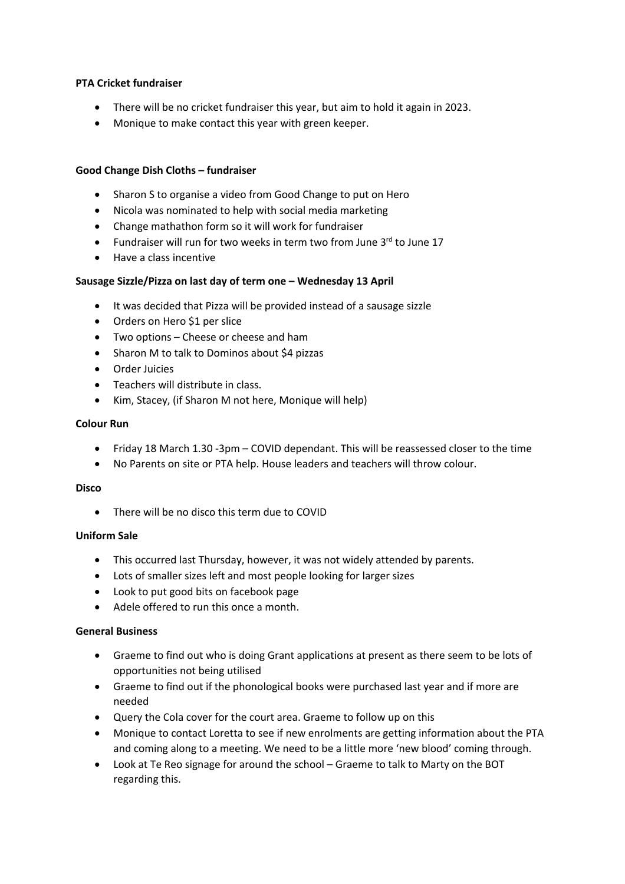#### **PTA Cricket fundraiser**

- There will be no cricket fundraiser this year, but aim to hold it again in 2023.
- Monique to make contact this year with green keeper.

# **Good Change Dish Cloths – fundraiser**

- Sharon S to organise a video from Good Change to put on Hero
- Nicola was nominated to help with social media marketing
- Change mathathon form so it will work for fundraiser
- Fundraiser will run for two weeks in term two from June  $3^{rd}$  to June 17
- Have a class incentive

# **Sausage Sizzle/Pizza on last day of term one – Wednesday 13 April**

- It was decided that Pizza will be provided instead of a sausage sizzle
- Orders on Hero \$1 per slice
- Two options Cheese or cheese and ham
- Sharon M to talk to Dominos about \$4 pizzas
- Order Juicies
- Teachers will distribute in class.
- Kim, Stacey, (if Sharon M not here, Monique will help)

#### **Colour Run**

- Friday 18 March 1.30 -3pm COVID dependant. This will be reassessed closer to the time
- No Parents on site or PTA help. House leaders and teachers will throw colour.

#### **Disco**

• There will be no disco this term due to COVID

#### **Uniform Sale**

- This occurred last Thursday, however, it was not widely attended by parents.
- Lots of smaller sizes left and most people looking for larger sizes
- Look to put good bits on facebook page
- Adele offered to run this once a month.

#### **General Business**

- Graeme to find out who is doing Grant applications at present as there seem to be lots of opportunities not being utilised
- Graeme to find out if the phonological books were purchased last year and if more are needed
- Query the Cola cover for the court area. Graeme to follow up on this
- Monique to contact Loretta to see if new enrolments are getting information about the PTA and coming along to a meeting. We need to be a little more 'new blood' coming through.
- Look at Te Reo signage for around the school Graeme to talk to Marty on the BOT regarding this.